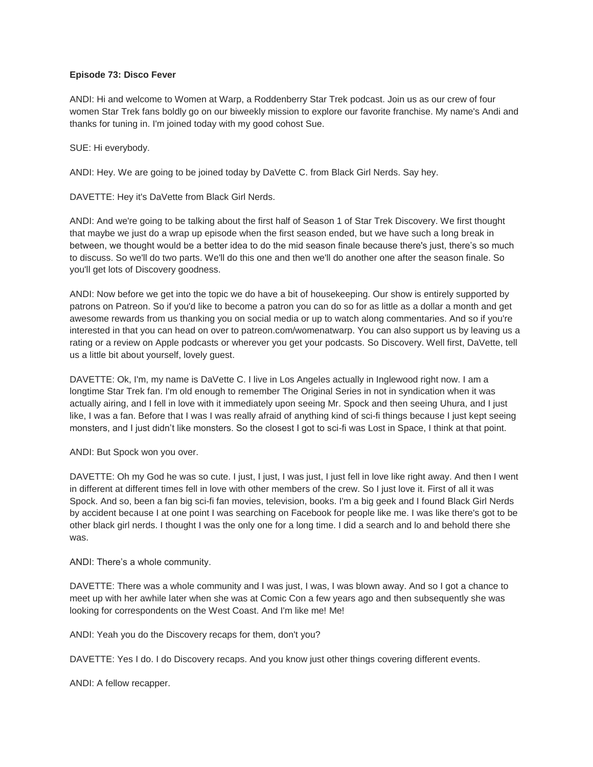# **Episode 73: Disco Fever**

ANDI: Hi and welcome to Women at Warp, a Roddenberry Star Trek podcast. Join us as our crew of four women Star Trek fans boldly go on our biweekly mission to explore our favorite franchise. My name's Andi and thanks for tuning in. I'm joined today with my good cohost Sue.

SUE: Hi everybody.

ANDI: Hey. We are going to be joined today by DaVette C. from Black Girl Nerds. Say hey.

DAVETTE: Hey it's DaVette from Black Girl Nerds.

ANDI: And we're going to be talking about the first half of Season 1 of Star Trek Discovery. We first thought that maybe we just do a wrap up episode when the first season ended, but we have such a long break in between, we thought would be a better idea to do the mid season finale because there's just, there's so much to discuss. So we'll do two parts. We'll do this one and then we'll do another one after the season finale. So you'll get lots of Discovery goodness.

ANDI: Now before we get into the topic we do have a bit of housekeeping. Our show is entirely supported by patrons on Patreon. So if you'd like to become a patron you can do so for as little as a dollar a month and get awesome rewards from us thanking you on social media or up to watch along commentaries. And so if you're interested in that you can head on over to patreon.com/womenatwarp. You can also support us by leaving us a rating or a review on Apple podcasts or wherever you get your podcasts. So Discovery. Well first, DaVette, tell us a little bit about yourself, lovely guest.

DAVETTE: Ok, I'm, my name is DaVette C. I live in Los Angeles actually in Inglewood right now. I am a longtime Star Trek fan. I'm old enough to remember The Original Series in not in syndication when it was actually airing, and I fell in love with it immediately upon seeing Mr. Spock and then seeing Uhura, and I just like, I was a fan. Before that I was I was really afraid of anything kind of sci-fi things because I just kept seeing monsters, and I just didn't like monsters. So the closest I got to sci-fi was Lost in Space, I think at that point.

ANDI: But Spock won you over.

DAVETTE: Oh my God he was so cute. I just, I just, I was just, I just fell in love like right away. And then I went in different at different times fell in love with other members of the crew. So I just love it. First of all it was Spock. And so, been a fan big sci-fi fan movies, television, books. I'm a big geek and I found Black Girl Nerds by accident because I at one point I was searching on Facebook for people like me. I was like there's got to be other black girl nerds. I thought I was the only one for a long time. I did a search and lo and behold there she was.

ANDI: There's a whole community.

DAVETTE: There was a whole community and I was just, I was, I was blown away. And so I got a chance to meet up with her awhile later when she was at Comic Con a few years ago and then subsequently she was looking for correspondents on the West Coast. And I'm like me! Me!

ANDI: Yeah you do the Discovery recaps for them, don't you?

DAVETTE: Yes I do. I do Discovery recaps. And you know just other things covering different events.

ANDI: A fellow recapper.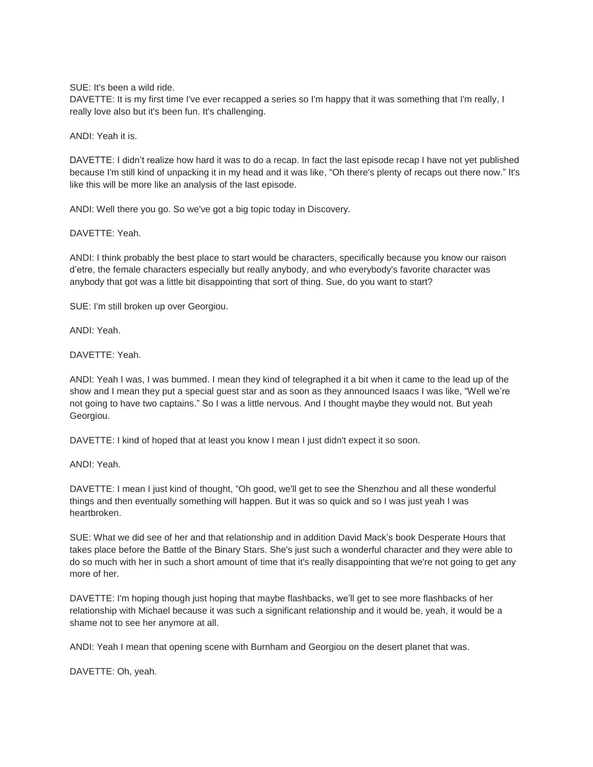SUE: It's been a wild ride.

DAVETTE: It is my first time I've ever recapped a series so I'm happy that it was something that I'm really, I really love also but it's been fun. It's challenging.

ANDI: Yeah it is.

DAVETTE: I didn't realize how hard it was to do a recap. In fact the last episode recap I have not yet published because I'm still kind of unpacking it in my head and it was like, "Oh there's plenty of recaps out there now." It's like this will be more like an analysis of the last episode.

ANDI: Well there you go. So we've got a big topic today in Discovery.

DAVETTE: Yeah.

ANDI: I think probably the best place to start would be characters, specifically because you know our raison d'etre, the female characters especially but really anybody, and who everybody's favorite character was anybody that got was a little bit disappointing that sort of thing. Sue, do you want to start?

SUE: I'm still broken up over Georgiou.

ANDI: Yeah.

DAVETTE: Yeah.

ANDI: Yeah I was, I was bummed. I mean they kind of telegraphed it a bit when it came to the lead up of the show and I mean they put a special guest star and as soon as they announced Isaacs I was like, "Well we're not going to have two captains." So I was a little nervous. And I thought maybe they would not. But yeah Georgiou.

DAVETTE: I kind of hoped that at least you know I mean I just didn't expect it so soon.

ANDI: Yeah.

DAVETTE: I mean I just kind of thought, "Oh good, we'll get to see the Shenzhou and all these wonderful things and then eventually something will happen. But it was so quick and so I was just yeah I was heartbroken.

SUE: What we did see of her and that relationship and in addition David Mack's book Desperate Hours that takes place before the Battle of the Binary Stars. She's just such a wonderful character and they were able to do so much with her in such a short amount of time that it's really disappointing that we're not going to get any more of her.

DAVETTE: I'm hoping though just hoping that maybe flashbacks, we'll get to see more flashbacks of her relationship with Michael because it was such a significant relationship and it would be, yeah, it would be a shame not to see her anymore at all.

ANDI: Yeah I mean that opening scene with Burnham and Georgiou on the desert planet that was.

DAVETTE: Oh, yeah.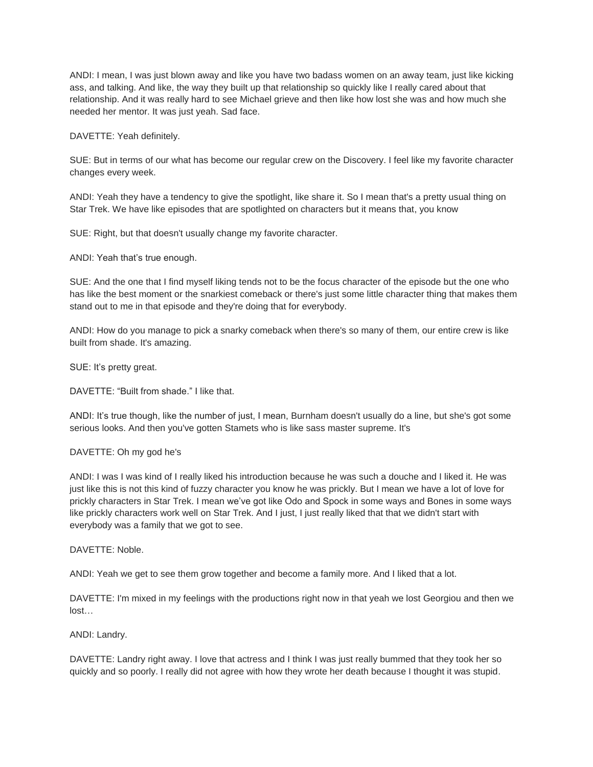ANDI: I mean, I was just blown away and like you have two badass women on an away team, just like kicking ass, and talking. And like, the way they built up that relationship so quickly like I really cared about that relationship. And it was really hard to see Michael grieve and then like how lost she was and how much she needed her mentor. It was just yeah. Sad face.

DAVETTE: Yeah definitely.

SUE: But in terms of our what has become our regular crew on the Discovery. I feel like my favorite character changes every week.

ANDI: Yeah they have a tendency to give the spotlight, like share it. So I mean that's a pretty usual thing on Star Trek. We have like episodes that are spotlighted on characters but it means that, you know

SUE: Right, but that doesn't usually change my favorite character.

ANDI: Yeah that's true enough.

SUE: And the one that I find myself liking tends not to be the focus character of the episode but the one who has like the best moment or the snarkiest comeback or there's just some little character thing that makes them stand out to me in that episode and they're doing that for everybody.

ANDI: How do you manage to pick a snarky comeback when there's so many of them, our entire crew is like built from shade. It's amazing.

SUE: It's pretty great.

DAVETTE: "Built from shade." I like that.

ANDI: It's true though, like the number of just, I mean, Burnham doesn't usually do a line, but she's got some serious looks. And then you've gotten Stamets who is like sass master supreme. It's

# DAVETTE: Oh my god he's

ANDI: I was I was kind of I really liked his introduction because he was such a douche and I liked it. He was just like this is not this kind of fuzzy character you know he was prickly. But I mean we have a lot of love for prickly characters in Star Trek. I mean we've got like Odo and Spock in some ways and Bones in some ways like prickly characters work well on Star Trek. And I just, I just really liked that that we didn't start with everybody was a family that we got to see.

DAVETTE: Noble.

ANDI: Yeah we get to see them grow together and become a family more. And I liked that a lot.

DAVETTE: I'm mixed in my feelings with the productions right now in that yeah we lost Georgiou and then we lost…

ANDI: Landry.

DAVETTE: Landry right away. I love that actress and I think I was just really bummed that they took her so quickly and so poorly. I really did not agree with how they wrote her death because I thought it was stupid.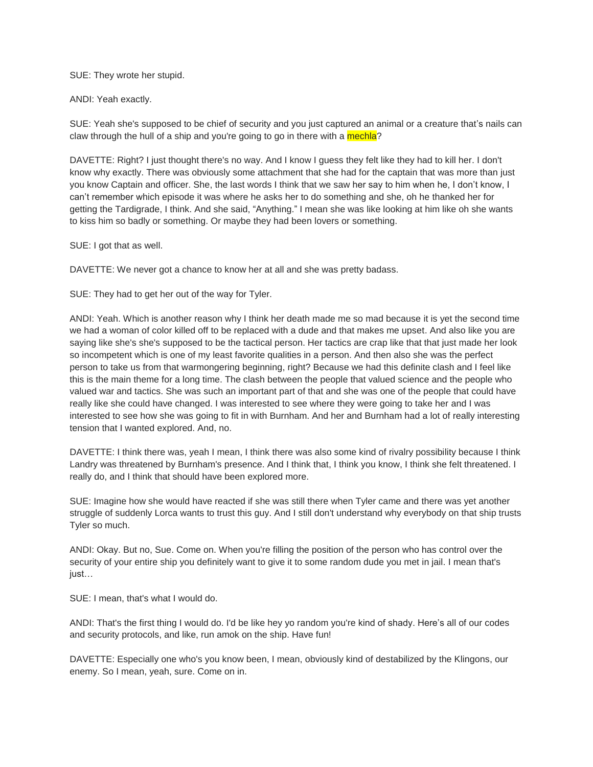#### SUE: They wrote her stupid.

### ANDI: Yeah exactly.

SUE: Yeah she's supposed to be chief of security and you just captured an animal or a creature that's nails can claw through the hull of a ship and you're going to go in there with a mechla?

DAVETTE: Right? I just thought there's no way. And I know I guess they felt like they had to kill her. I don't know why exactly. There was obviously some attachment that she had for the captain that was more than just you know Captain and officer. She, the last words I think that we saw her say to him when he, I don't know, I can't remember which episode it was where he asks her to do something and she, oh he thanked her for getting the Tardigrade, I think. And she said, "Anything." I mean she was like looking at him like oh she wants to kiss him so badly or something. Or maybe they had been lovers or something.

SUE: I got that as well.

DAVETTE: We never got a chance to know her at all and she was pretty badass.

SUE: They had to get her out of the way for Tyler.

ANDI: Yeah. Which is another reason why I think her death made me so mad because it is yet the second time we had a woman of color killed off to be replaced with a dude and that makes me upset. And also like you are saying like she's she's supposed to be the tactical person. Her tactics are crap like that that just made her look so incompetent which is one of my least favorite qualities in a person. And then also she was the perfect person to take us from that warmongering beginning, right? Because we had this definite clash and I feel like this is the main theme for a long time. The clash between the people that valued science and the people who valued war and tactics. She was such an important part of that and she was one of the people that could have really like she could have changed. I was interested to see where they were going to take her and I was interested to see how she was going to fit in with Burnham. And her and Burnham had a lot of really interesting tension that I wanted explored. And, no.

DAVETTE: I think there was, yeah I mean, I think there was also some kind of rivalry possibility because I think Landry was threatened by Burnham's presence. And I think that, I think you know, I think she felt threatened. I really do, and I think that should have been explored more.

SUE: Imagine how she would have reacted if she was still there when Tyler came and there was yet another struggle of suddenly Lorca wants to trust this guy. And I still don't understand why everybody on that ship trusts Tyler so much.

ANDI: Okay. But no, Sue. Come on. When you're filling the position of the person who has control over the security of your entire ship you definitely want to give it to some random dude you met in jail. I mean that's just…

SUE: I mean, that's what I would do.

ANDI: That's the first thing I would do. I'd be like hey yo random you're kind of shady. Here's all of our codes and security protocols, and like, run amok on the ship. Have fun!

DAVETTE: Especially one who's you know been, I mean, obviously kind of destabilized by the Klingons, our enemy. So I mean, yeah, sure. Come on in.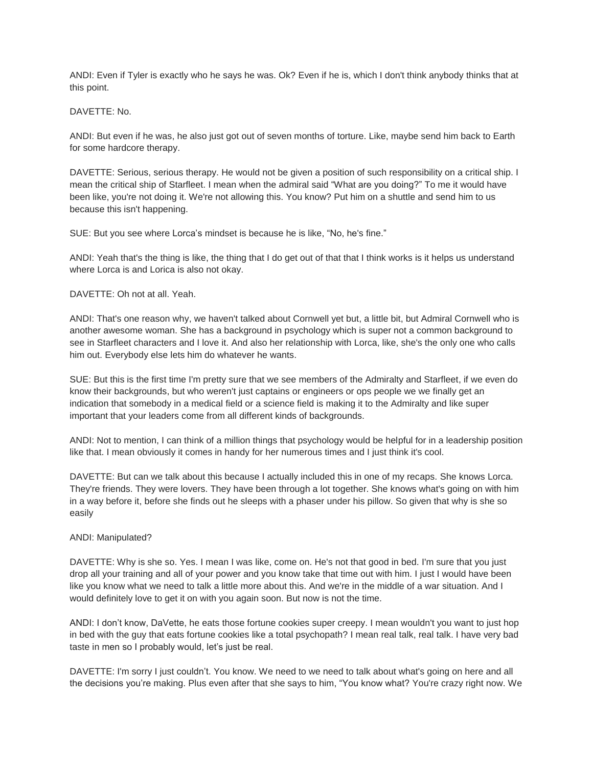ANDI: Even if Tyler is exactly who he says he was. Ok? Even if he is, which I don't think anybody thinks that at this point.

### DAVETTE: No.

ANDI: But even if he was, he also just got out of seven months of torture. Like, maybe send him back to Earth for some hardcore therapy.

DAVETTE: Serious, serious therapy. He would not be given a position of such responsibility on a critical ship. I mean the critical ship of Starfleet. I mean when the admiral said "What are you doing?" To me it would have been like, you're not doing it. We're not allowing this. You know? Put him on a shuttle and send him to us because this isn't happening.

SUE: But you see where Lorca's mindset is because he is like, "No, he's fine."

ANDI: Yeah that's the thing is like, the thing that I do get out of that that I think works is it helps us understand where Lorca is and Lorica is also not okay.

### DAVETTE: Oh not at all. Yeah.

ANDI: That's one reason why, we haven't talked about Cornwell yet but, a little bit, but Admiral Cornwell who is another awesome woman. She has a background in psychology which is super not a common background to see in Starfleet characters and I love it. And also her relationship with Lorca, like, she's the only one who calls him out. Everybody else lets him do whatever he wants.

SUE: But this is the first time I'm pretty sure that we see members of the Admiralty and Starfleet, if we even do know their backgrounds, but who weren't just captains or engineers or ops people we we finally get an indication that somebody in a medical field or a science field is making it to the Admiralty and like super important that your leaders come from all different kinds of backgrounds.

ANDI: Not to mention, I can think of a million things that psychology would be helpful for in a leadership position like that. I mean obviously it comes in handy for her numerous times and I just think it's cool.

DAVETTE: But can we talk about this because I actually included this in one of my recaps. She knows Lorca. They're friends. They were lovers. They have been through a lot together. She knows what's going on with him in a way before it, before she finds out he sleeps with a phaser under his pillow. So given that why is she so easily

#### ANDI: Manipulated?

DAVETTE: Why is she so. Yes. I mean I was like, come on. He's not that good in bed. I'm sure that you just drop all your training and all of your power and you know take that time out with him. I just I would have been like you know what we need to talk a little more about this. And we're in the middle of a war situation. And I would definitely love to get it on with you again soon. But now is not the time.

ANDI: I don't know, DaVette, he eats those fortune cookies super creepy. I mean wouldn't you want to just hop in bed with the guy that eats fortune cookies like a total psychopath? I mean real talk, real talk. I have very bad taste in men so I probably would, let's just be real.

DAVETTE: I'm sorry I just couldn't. You know. We need to we need to talk about what's going on here and all the decisions you're making. Plus even after that she says to him, "You know what? You're crazy right now. We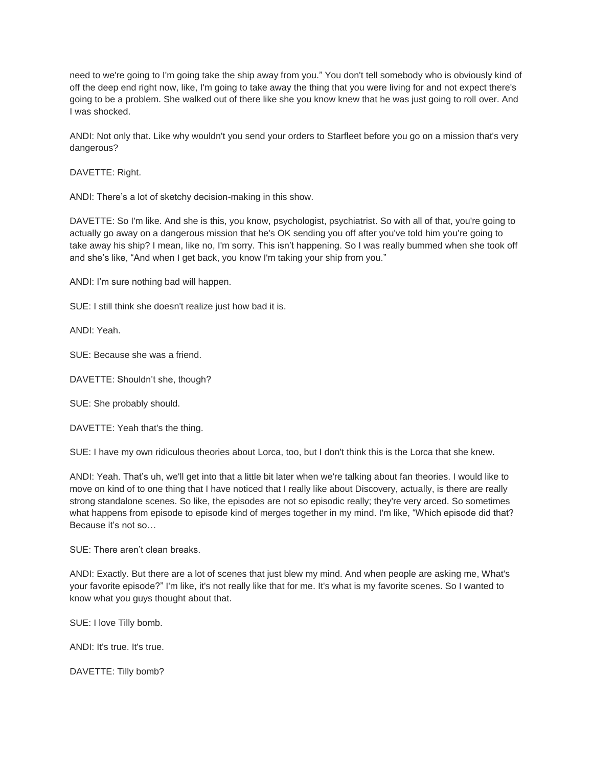need to we're going to I'm going take the ship away from you." You don't tell somebody who is obviously kind of off the deep end right now, like, I'm going to take away the thing that you were living for and not expect there's going to be a problem. She walked out of there like she you know knew that he was just going to roll over. And I was shocked.

ANDI: Not only that. Like why wouldn't you send your orders to Starfleet before you go on a mission that's very dangerous?

DAVETTE: Right.

ANDI: There's a lot of sketchy decision-making in this show.

DAVETTE: So I'm like. And she is this, you know, psychologist, psychiatrist. So with all of that, you're going to actually go away on a dangerous mission that he's OK sending you off after you've told him you're going to take away his ship? I mean, like no, I'm sorry. This isn't happening. So I was really bummed when she took off and she's like, "And when I get back, you know I'm taking your ship from you."

ANDI: I'm sure nothing bad will happen.

SUE: I still think she doesn't realize just how bad it is.

ANDI: Yeah.

SUE: Because she was a friend.

DAVETTE: Shouldn't she, though?

SUE: She probably should.

DAVETTE: Yeah that's the thing.

SUE: I have my own ridiculous theories about Lorca, too, but I don't think this is the Lorca that she knew.

ANDI: Yeah. That's uh, we'll get into that a little bit later when we're talking about fan theories. I would like to move on kind of to one thing that I have noticed that I really like about Discovery, actually, is there are really strong standalone scenes. So like, the episodes are not so episodic really; they're very arced. So sometimes what happens from episode to episode kind of merges together in my mind. I'm like, "Which episode did that? Because it's not so…

SUE: There aren't clean breaks.

ANDI: Exactly. But there are a lot of scenes that just blew my mind. And when people are asking me, What's your favorite episode?" I'm like, it's not really like that for me. It's what is my favorite scenes. So I wanted to know what you guys thought about that.

SUE: I love Tilly bomb.

ANDI: It's true. It's true.

DAVETTE: Tilly bomb?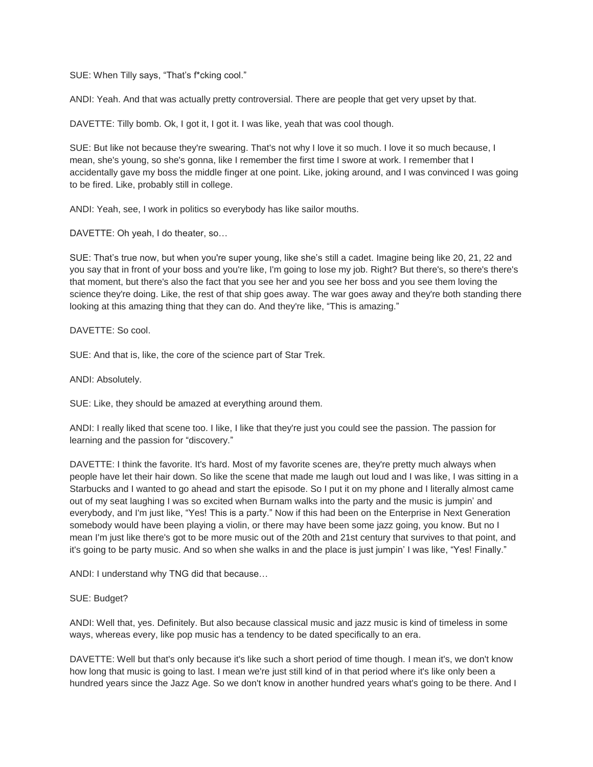SUE: When Tilly says, "That's f\*cking cool."

ANDI: Yeah. And that was actually pretty controversial. There are people that get very upset by that.

DAVETTE: Tilly bomb. Ok, I got it, I got it. I was like, yeah that was cool though.

SUE: But like not because they're swearing. That's not why I love it so much. I love it so much because, I mean, she's young, so she's gonna, like I remember the first time I swore at work. I remember that I accidentally gave my boss the middle finger at one point. Like, joking around, and I was convinced I was going to be fired. Like, probably still in college.

ANDI: Yeah, see, I work in politics so everybody has like sailor mouths.

DAVETTE: Oh yeah, I do theater, so…

SUE: That's true now, but when you're super young, like she's still a cadet. Imagine being like 20, 21, 22 and you say that in front of your boss and you're like, I'm going to lose my job. Right? But there's, so there's there's that moment, but there's also the fact that you see her and you see her boss and you see them loving the science they're doing. Like, the rest of that ship goes away. The war goes away and they're both standing there looking at this amazing thing that they can do. And they're like, "This is amazing."

DAVETTE: So cool.

SUE: And that is, like, the core of the science part of Star Trek.

ANDI: Absolutely.

SUE: Like, they should be amazed at everything around them.

ANDI: I really liked that scene too. I like, I like that they're just you could see the passion. The passion for learning and the passion for "discovery."

DAVETTE: I think the favorite. It's hard. Most of my favorite scenes are, they're pretty much always when people have let their hair down. So like the scene that made me laugh out loud and I was like, I was sitting in a Starbucks and I wanted to go ahead and start the episode. So I put it on my phone and I literally almost came out of my seat laughing I was so excited when Burnam walks into the party and the music is jumpin' and everybody, and I'm just like, "Yes! This is a party." Now if this had been on the Enterprise in Next Generation somebody would have been playing a violin, or there may have been some jazz going, you know. But no I mean I'm just like there's got to be more music out of the 20th and 21st century that survives to that point, and it's going to be party music. And so when she walks in and the place is just jumpin' I was like, "Yes! Finally."

ANDI: I understand why TNG did that because…

# SUE: Budget?

ANDI: Well that, yes. Definitely. But also because classical music and jazz music is kind of timeless in some ways, whereas every, like pop music has a tendency to be dated specifically to an era.

DAVETTE: Well but that's only because it's like such a short period of time though. I mean it's, we don't know how long that music is going to last. I mean we're just still kind of in that period where it's like only been a hundred years since the Jazz Age. So we don't know in another hundred years what's going to be there. And I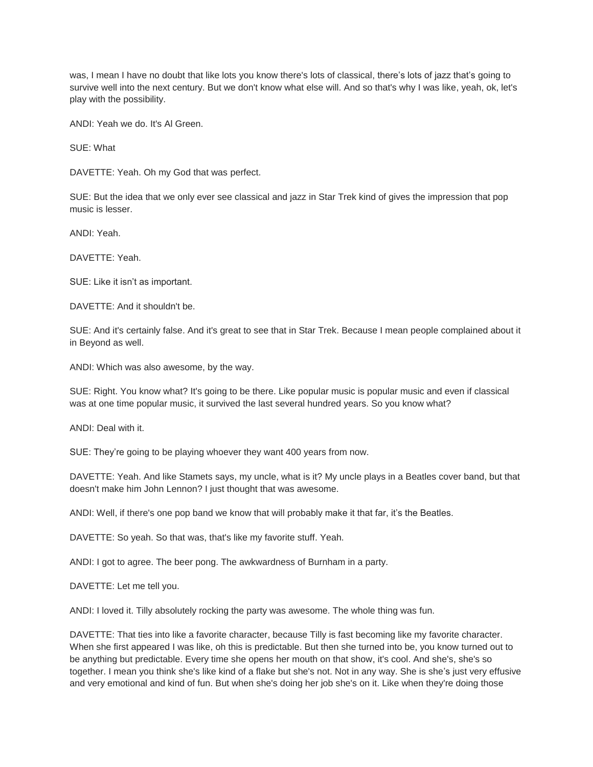was, I mean I have no doubt that like lots you know there's lots of classical, there's lots of jazz that's going to survive well into the next century. But we don't know what else will. And so that's why I was like, yeah, ok, let's play with the possibility.

ANDI: Yeah we do. It's Al Green.

SUE: What

DAVETTE: Yeah. Oh my God that was perfect.

SUE: But the idea that we only ever see classical and jazz in Star Trek kind of gives the impression that pop music is lesser.

ANDI: Yeah.

DAVETTE: Yeah.

SUE: Like it isn't as important.

DAVETTE: And it shouldn't be.

SUE: And it's certainly false. And it's great to see that in Star Trek. Because I mean people complained about it in Beyond as well.

ANDI: Which was also awesome, by the way.

SUE: Right. You know what? It's going to be there. Like popular music is popular music and even if classical was at one time popular music, it survived the last several hundred years. So you know what?

ANDI: Deal with it.

SUE: They're going to be playing whoever they want 400 years from now.

DAVETTE: Yeah. And like Stamets says, my uncle, what is it? My uncle plays in a Beatles cover band, but that doesn't make him John Lennon? I just thought that was awesome.

ANDI: Well, if there's one pop band we know that will probably make it that far, it's the Beatles.

DAVETTE: So yeah. So that was, that's like my favorite stuff. Yeah.

ANDI: I got to agree. The beer pong. The awkwardness of Burnham in a party.

DAVETTE: Let me tell you.

ANDI: I loved it. Tilly absolutely rocking the party was awesome. The whole thing was fun.

DAVETTE: That ties into like a favorite character, because Tilly is fast becoming like my favorite character. When she first appeared I was like, oh this is predictable. But then she turned into be, you know turned out to be anything but predictable. Every time she opens her mouth on that show, it's cool. And she's, she's so together. I mean you think she's like kind of a flake but she's not. Not in any way. She is she's just very effusive and very emotional and kind of fun. But when she's doing her job she's on it. Like when they're doing those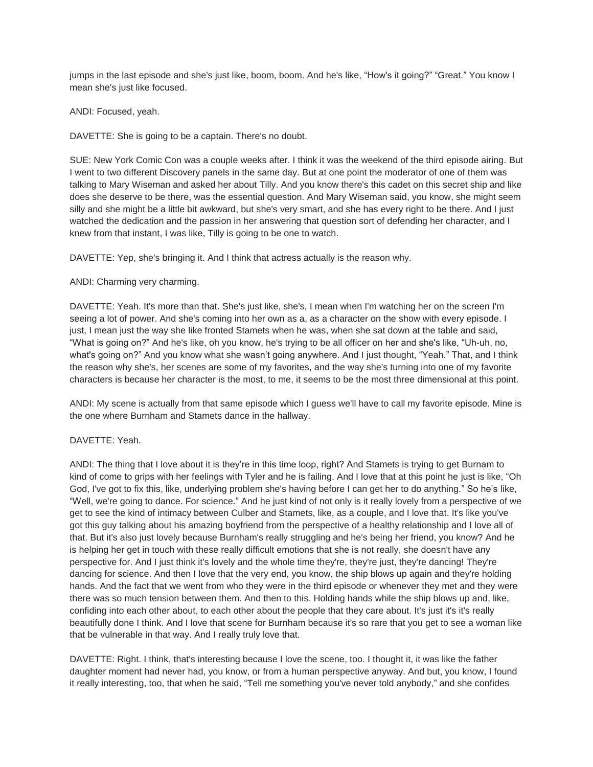jumps in the last episode and she's just like, boom, boom. And he's like, "How's it going?" "Great." You know I mean she's just like focused.

### ANDI: Focused, yeah.

DAVETTE: She is going to be a captain. There's no doubt.

SUE: New York Comic Con was a couple weeks after. I think it was the weekend of the third episode airing. But I went to two different Discovery panels in the same day. But at one point the moderator of one of them was talking to Mary Wiseman and asked her about Tilly. And you know there's this cadet on this secret ship and like does she deserve to be there, was the essential question. And Mary Wiseman said, you know, she might seem silly and she might be a little bit awkward, but she's very smart, and she has every right to be there. And I just watched the dedication and the passion in her answering that question sort of defending her character, and I knew from that instant, I was like, Tilly is going to be one to watch.

DAVETTE: Yep, she's bringing it. And I think that actress actually is the reason why.

# ANDI: Charming very charming.

DAVETTE: Yeah. It's more than that. She's just like, she's, I mean when I'm watching her on the screen I'm seeing a lot of power. And she's coming into her own as a, as a character on the show with every episode. I just, I mean just the way she like fronted Stamets when he was, when she sat down at the table and said, "What is going on?" And he's like, oh you know, he's trying to be all officer on her and she's like, "Uh-uh, no, what's going on?" And you know what she wasn't going anywhere. And I just thought, "Yeah." That, and I think the reason why she's, her scenes are some of my favorites, and the way she's turning into one of my favorite characters is because her character is the most, to me, it seems to be the most three dimensional at this point.

ANDI: My scene is actually from that same episode which I guess we'll have to call my favorite episode. Mine is the one where Burnham and Stamets dance in the hallway.

#### DAVETTE: Yeah.

ANDI: The thing that I love about it is they're in this time loop, right? And Stamets is trying to get Burnam to kind of come to grips with her feelings with Tyler and he is failing. And I love that at this point he just is like, "Oh God, I've got to fix this, like, underlying problem she's having before I can get her to do anything." So he's like, "Well, we're going to dance. For science." And he just kind of not only is it really lovely from a perspective of we get to see the kind of intimacy between Culber and Stamets, like, as a couple, and I love that. It's like you've got this guy talking about his amazing boyfriend from the perspective of a healthy relationship and I love all of that. But it's also just lovely because Burnham's really struggling and he's being her friend, you know? And he is helping her get in touch with these really difficult emotions that she is not really, she doesn't have any perspective for. And I just think it's lovely and the whole time they're, they're just, they're dancing! They're dancing for science. And then I love that the very end, you know, the ship blows up again and they're holding hands. And the fact that we went from who they were in the third episode or whenever they met and they were there was so much tension between them. And then to this. Holding hands while the ship blows up and, like, confiding into each other about, to each other about the people that they care about. It's just it's it's really beautifully done I think. And I love that scene for Burnham because it's so rare that you get to see a woman like that be vulnerable in that way. And I really truly love that.

DAVETTE: Right. I think, that's interesting because I love the scene, too. I thought it, it was like the father daughter moment had never had, you know, or from a human perspective anyway. And but, you know, I found it really interesting, too, that when he said, "Tell me something you've never told anybody," and she confides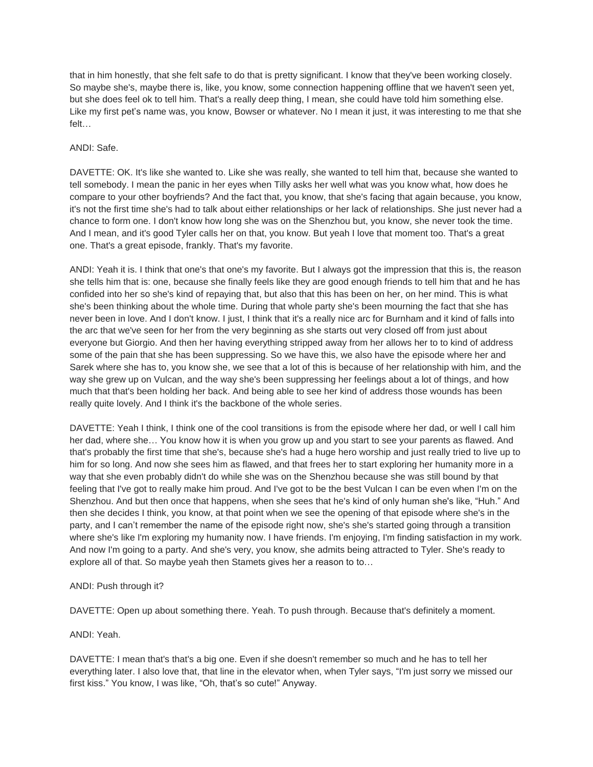that in him honestly, that she felt safe to do that is pretty significant. I know that they've been working closely. So maybe she's, maybe there is, like, you know, some connection happening offline that we haven't seen yet, but she does feel ok to tell him. That's a really deep thing, I mean, she could have told him something else. Like my first pet's name was, you know, Bowser or whatever. No I mean it just, it was interesting to me that she felt…

### ANDI: Safe.

DAVETTE: OK. It's like she wanted to. Like she was really, she wanted to tell him that, because she wanted to tell somebody. I mean the panic in her eyes when Tilly asks her well what was you know what, how does he compare to your other boyfriends? And the fact that, you know, that she's facing that again because, you know, it's not the first time she's had to talk about either relationships or her lack of relationships. She just never had a chance to form one. I don't know how long she was on the Shenzhou but, you know, she never took the time. And I mean, and it's good Tyler calls her on that, you know. But yeah I love that moment too. That's a great one. That's a great episode, frankly. That's my favorite.

ANDI: Yeah it is. I think that one's that one's my favorite. But I always got the impression that this is, the reason she tells him that is: one, because she finally feels like they are good enough friends to tell him that and he has confided into her so she's kind of repaying that, but also that this has been on her, on her mind. This is what she's been thinking about the whole time. During that whole party she's been mourning the fact that she has never been in love. And I don't know. I just, I think that it's a really nice arc for Burnham and it kind of falls into the arc that we've seen for her from the very beginning as she starts out very closed off from just about everyone but Giorgio. And then her having everything stripped away from her allows her to to kind of address some of the pain that she has been suppressing. So we have this, we also have the episode where her and Sarek where she has to, you know she, we see that a lot of this is because of her relationship with him, and the way she grew up on Vulcan, and the way she's been suppressing her feelings about a lot of things, and how much that that's been holding her back. And being able to see her kind of address those wounds has been really quite lovely. And I think it's the backbone of the whole series.

DAVETTE: Yeah I think, I think one of the cool transitions is from the episode where her dad, or well I call him her dad, where she… You know how it is when you grow up and you start to see your parents as flawed. And that's probably the first time that she's, because she's had a huge hero worship and just really tried to live up to him for so long. And now she sees him as flawed, and that frees her to start exploring her humanity more in a way that she even probably didn't do while she was on the Shenzhou because she was still bound by that feeling that I've got to really make him proud. And I've got to be the best Vulcan I can be even when I'm on the Shenzhou. And but then once that happens, when she sees that he's kind of only human she's like, "Huh." And then she decides I think, you know, at that point when we see the opening of that episode where she's in the party, and I can't remember the name of the episode right now, she's she's started going through a transition where she's like I'm exploring my humanity now. I have friends. I'm enjoying, I'm finding satisfaction in my work. And now I'm going to a party. And she's very, you know, she admits being attracted to Tyler. She's ready to explore all of that. So maybe yeah then Stamets gives her a reason to to…

# ANDI: Push through it?

DAVETTE: Open up about something there. Yeah. To push through. Because that's definitely a moment.

#### ANDI: Yeah.

DAVETTE: I mean that's that's a big one. Even if she doesn't remember so much and he has to tell her everything later. I also love that, that line in the elevator when, when Tyler says, "I'm just sorry we missed our first kiss." You know, I was like, "Oh, that's so cute!" Anyway.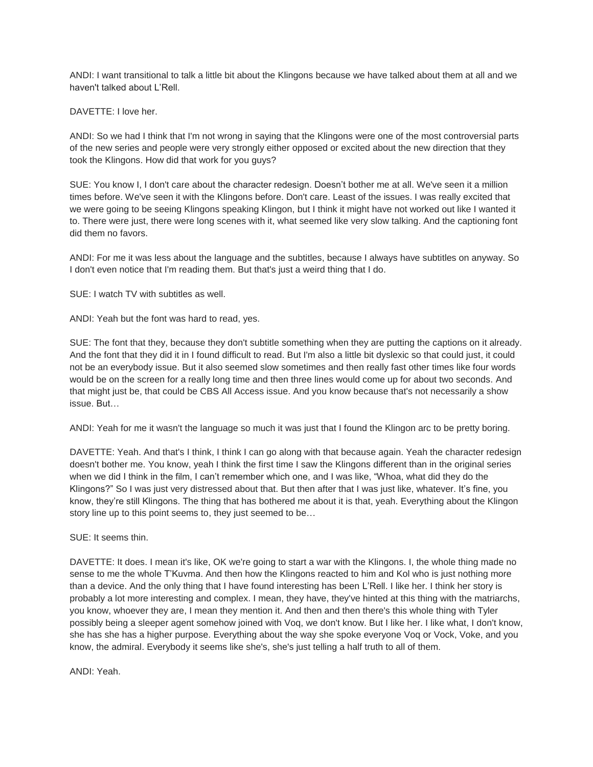ANDI: I want transitional to talk a little bit about the Klingons because we have talked about them at all and we haven't talked about L'Rell.

DAVETTE: I love her.

ANDI: So we had I think that I'm not wrong in saying that the Klingons were one of the most controversial parts of the new series and people were very strongly either opposed or excited about the new direction that they took the Klingons. How did that work for you guys?

SUE: You know I, I don't care about the character redesign. Doesn't bother me at all. We've seen it a million times before. We've seen it with the Klingons before. Don't care. Least of the issues. I was really excited that we were going to be seeing Klingons speaking Klingon, but I think it might have not worked out like I wanted it to. There were just, there were long scenes with it, what seemed like very slow talking. And the captioning font did them no favors.

ANDI: For me it was less about the language and the subtitles, because I always have subtitles on anyway. So I don't even notice that I'm reading them. But that's just a weird thing that I do.

SUE: I watch TV with subtitles as well.

ANDI: Yeah but the font was hard to read, yes.

SUE: The font that they, because they don't subtitle something when they are putting the captions on it already. And the font that they did it in I found difficult to read. But I'm also a little bit dyslexic so that could just, it could not be an everybody issue. But it also seemed slow sometimes and then really fast other times like four words would be on the screen for a really long time and then three lines would come up for about two seconds. And that might just be, that could be CBS All Access issue. And you know because that's not necessarily a show issue. But…

ANDI: Yeah for me it wasn't the language so much it was just that I found the Klingon arc to be pretty boring.

DAVETTE: Yeah. And that's I think, I think I can go along with that because again. Yeah the character redesign doesn't bother me. You know, yeah I think the first time I saw the Klingons different than in the original series when we did I think in the film, I can't remember which one, and I was like, "Whoa, what did they do the Klingons?" So I was just very distressed about that. But then after that I was just like, whatever. It's fine, you know, they're still Klingons. The thing that has bothered me about it is that, yeah. Everything about the Klingon story line up to this point seems to, they just seemed to be…

SUE: It seems thin.

DAVETTE: It does. I mean it's like, OK we're going to start a war with the Klingons. I, the whole thing made no sense to me the whole T'Kuvma. And then how the Klingons reacted to him and Kol who is just nothing more than a device. And the only thing that I have found interesting has been L'Rell. I like her. I think her story is probably a lot more interesting and complex. I mean, they have, they've hinted at this thing with the matriarchs, you know, whoever they are, I mean they mention it. And then and then there's this whole thing with Tyler possibly being a sleeper agent somehow joined with Voq, we don't know. But I like her. I like what, I don't know, she has she has a higher purpose. Everything about the way she spoke everyone Voq or Vock, Voke, and you know, the admiral. Everybody it seems like she's, she's just telling a half truth to all of them.

ANDI: Yeah.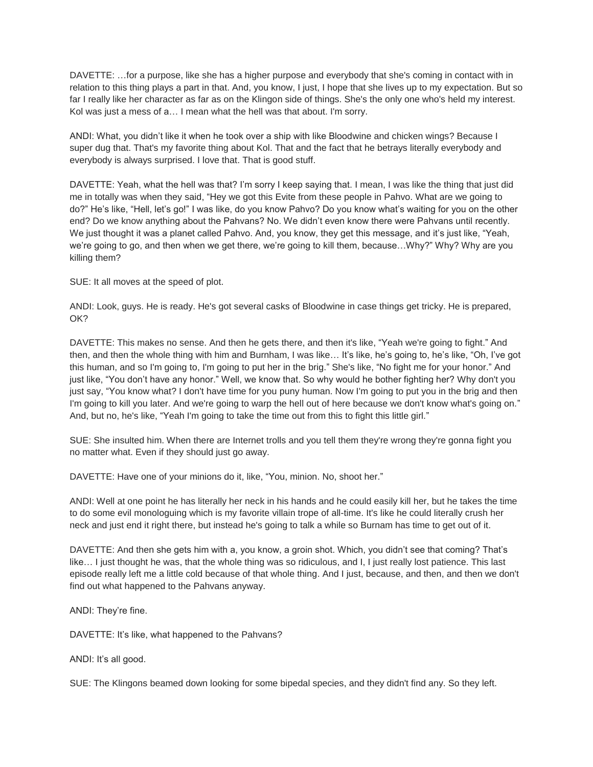DAVETTE: …for a purpose, like she has a higher purpose and everybody that she's coming in contact with in relation to this thing plays a part in that. And, you know, I just, I hope that she lives up to my expectation. But so far I really like her character as far as on the Klingon side of things. She's the only one who's held my interest. Kol was just a mess of a… I mean what the hell was that about. I'm sorry.

ANDI: What, you didn't like it when he took over a ship with like Bloodwine and chicken wings? Because I super dug that. That's my favorite thing about Kol. That and the fact that he betrays literally everybody and everybody is always surprised. I love that. That is good stuff.

DAVETTE: Yeah, what the hell was that? I'm sorry I keep saying that. I mean, I was like the thing that just did me in totally was when they said, "Hey we got this Evite from these people in Pahvo. What are we going to do?" He's like, "Hell, let's go!" I was like, do you know Pahvo? Do you know what's waiting for you on the other end? Do we know anything about the Pahvans? No. We didn't even know there were Pahvans until recently. We just thought it was a planet called Pahvo. And, you know, they get this message, and it's just like, "Yeah, we're going to go, and then when we get there, we're going to kill them, because…Why?" Why? Why are you killing them?

SUE: It all moves at the speed of plot.

ANDI: Look, guys. He is ready. He's got several casks of Bloodwine in case things get tricky. He is prepared, OK?

DAVETTE: This makes no sense. And then he gets there, and then it's like, "Yeah we're going to fight." And then, and then the whole thing with him and Burnham, I was like… It's like, he's going to, he's like, "Oh, I've got this human, and so I'm going to, I'm going to put her in the brig." She's like, "No fight me for your honor." And just like, "You don't have any honor." Well, we know that. So why would he bother fighting her? Why don't you just say, "You know what? I don't have time for you puny human. Now I'm going to put you in the brig and then I'm going to kill you later. And we're going to warp the hell out of here because we don't know what's going on." And, but no, he's like, "Yeah I'm going to take the time out from this to fight this little girl."

SUE: She insulted him. When there are Internet trolls and you tell them they're wrong they're gonna fight you no matter what. Even if they should just go away.

DAVETTE: Have one of your minions do it, like, "You, minion. No, shoot her."

ANDI: Well at one point he has literally her neck in his hands and he could easily kill her, but he takes the time to do some evil monologuing which is my favorite villain trope of all-time. It's like he could literally crush her neck and just end it right there, but instead he's going to talk a while so Burnam has time to get out of it.

DAVETTE: And then she gets him with a, you know, a groin shot. Which, you didn't see that coming? That's like… I just thought he was, that the whole thing was so ridiculous, and I, I just really lost patience. This last episode really left me a little cold because of that whole thing. And I just, because, and then, and then we don't find out what happened to the Pahvans anyway.

ANDI: They're fine.

DAVETTE: It's like, what happened to the Pahvans?

ANDI: It's all good.

SUE: The Klingons beamed down looking for some bipedal species, and they didn't find any. So they left.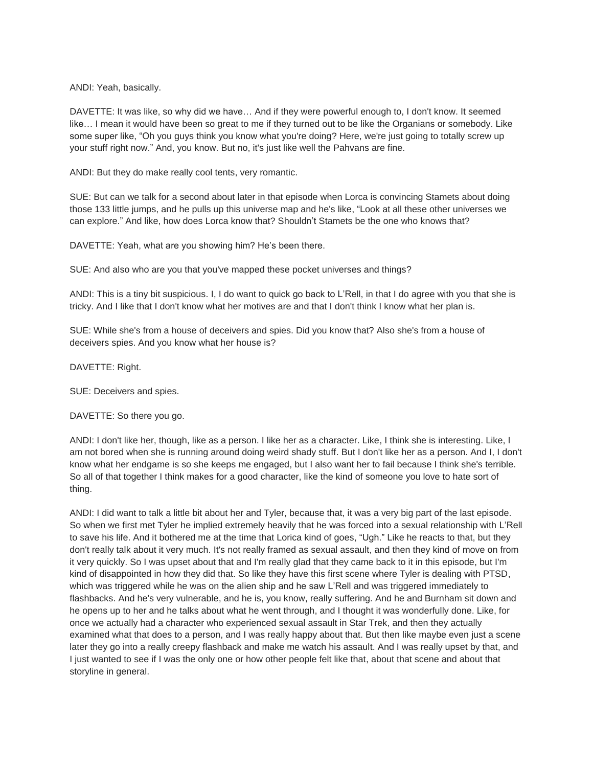ANDI: Yeah, basically.

DAVETTE: It was like, so why did we have… And if they were powerful enough to, I don't know. It seemed like… I mean it would have been so great to me if they turned out to be like the Organians or somebody. Like some super like, "Oh you guys think you know what you're doing? Here, we're just going to totally screw up your stuff right now." And, you know. But no, it's just like well the Pahvans are fine.

ANDI: But they do make really cool tents, very romantic.

SUE: But can we talk for a second about later in that episode when Lorca is convincing Stamets about doing those 133 little jumps, and he pulls up this universe map and he's like, "Look at all these other universes we can explore." And like, how does Lorca know that? Shouldn't Stamets be the one who knows that?

DAVETTE: Yeah, what are you showing him? He's been there.

SUE: And also who are you that you've mapped these pocket universes and things?

ANDI: This is a tiny bit suspicious. I, I do want to quick go back to L'Rell, in that I do agree with you that she is tricky. And I like that I don't know what her motives are and that I don't think I know what her plan is.

SUE: While she's from a house of deceivers and spies. Did you know that? Also she's from a house of deceivers spies. And you know what her house is?

DAVETTE: Right.

SUE: Deceivers and spies.

DAVETTE: So there you go.

ANDI: I don't like her, though, like as a person. I like her as a character. Like, I think she is interesting. Like, I am not bored when she is running around doing weird shady stuff. But I don't like her as a person. And I, I don't know what her endgame is so she keeps me engaged, but I also want her to fail because I think she's terrible. So all of that together I think makes for a good character, like the kind of someone you love to hate sort of thing.

ANDI: I did want to talk a little bit about her and Tyler, because that, it was a very big part of the last episode. So when we first met Tyler he implied extremely heavily that he was forced into a sexual relationship with L'Rell to save his life. And it bothered me at the time that Lorica kind of goes, "Ugh." Like he reacts to that, but they don't really talk about it very much. It's not really framed as sexual assault, and then they kind of move on from it very quickly. So I was upset about that and I'm really glad that they came back to it in this episode, but I'm kind of disappointed in how they did that. So like they have this first scene where Tyler is dealing with PTSD, which was triggered while he was on the alien ship and he saw L'Rell and was triggered immediately to flashbacks. And he's very vulnerable, and he is, you know, really suffering. And he and Burnham sit down and he opens up to her and he talks about what he went through, and I thought it was wonderfully done. Like, for once we actually had a character who experienced sexual assault in Star Trek, and then they actually examined what that does to a person, and I was really happy about that. But then like maybe even just a scene later they go into a really creepy flashback and make me watch his assault. And I was really upset by that, and I just wanted to see if I was the only one or how other people felt like that, about that scene and about that storyline in general.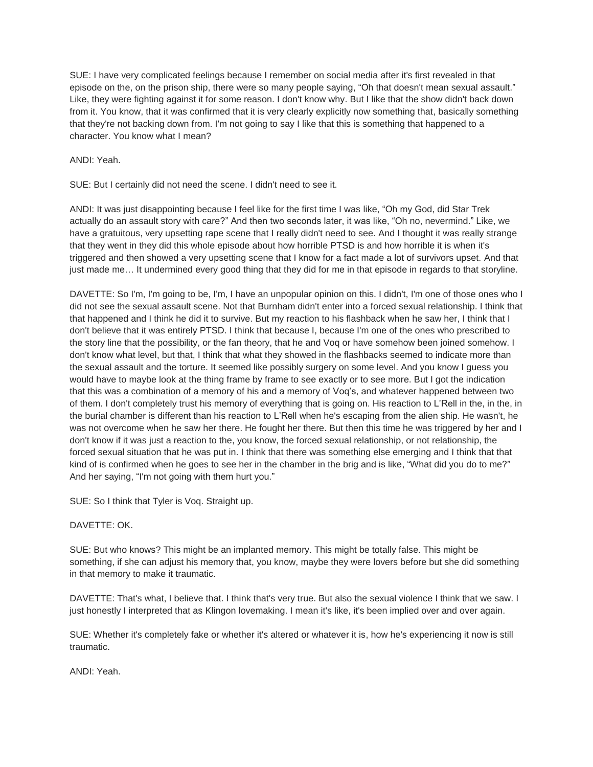SUE: I have very complicated feelings because I remember on social media after it's first revealed in that episode on the, on the prison ship, there were so many people saying, "Oh that doesn't mean sexual assault." Like, they were fighting against it for some reason. I don't know why. But I like that the show didn't back down from it. You know, that it was confirmed that it is very clearly explicitly now something that, basically something that they're not backing down from. I'm not going to say I like that this is something that happened to a character. You know what I mean?

ANDI: Yeah.

SUE: But I certainly did not need the scene. I didn't need to see it.

ANDI: It was just disappointing because I feel like for the first time I was like, "Oh my God, did Star Trek actually do an assault story with care?" And then two seconds later, it was like, "Oh no, nevermind." Like, we have a gratuitous, very upsetting rape scene that I really didn't need to see. And I thought it was really strange that they went in they did this whole episode about how horrible PTSD is and how horrible it is when it's triggered and then showed a very upsetting scene that I know for a fact made a lot of survivors upset. And that just made me… It undermined every good thing that they did for me in that episode in regards to that storyline.

DAVETTE: So I'm, I'm going to be, I'm, I have an unpopular opinion on this. I didn't, I'm one of those ones who I did not see the sexual assault scene. Not that Burnham didn't enter into a forced sexual relationship. I think that that happened and I think he did it to survive. But my reaction to his flashback when he saw her, I think that I don't believe that it was entirely PTSD. I think that because I, because I'm one of the ones who prescribed to the story line that the possibility, or the fan theory, that he and Voq or have somehow been joined somehow. I don't know what level, but that, I think that what they showed in the flashbacks seemed to indicate more than the sexual assault and the torture. It seemed like possibly surgery on some level. And you know I guess you would have to maybe look at the thing frame by frame to see exactly or to see more. But I got the indication that this was a combination of a memory of his and a memory of Voq's, and whatever happened between two of them. I don't completely trust his memory of everything that is going on. His reaction to L'Rell in the, in the, in the burial chamber is different than his reaction to L'Rell when he's escaping from the alien ship. He wasn't, he was not overcome when he saw her there. He fought her there. But then this time he was triggered by her and I don't know if it was just a reaction to the, you know, the forced sexual relationship, or not relationship, the forced sexual situation that he was put in. I think that there was something else emerging and I think that that kind of is confirmed when he goes to see her in the chamber in the brig and is like, "What did you do to me?" And her saying, "I'm not going with them hurt you."

SUE: So I think that Tyler is Voq. Straight up.

# DAVETTE: OK.

SUE: But who knows? This might be an implanted memory. This might be totally false. This might be something, if she can adjust his memory that, you know, maybe they were lovers before but she did something in that memory to make it traumatic.

DAVETTE: That's what, I believe that. I think that's very true. But also the sexual violence I think that we saw. I just honestly I interpreted that as Klingon lovemaking. I mean it's like, it's been implied over and over again.

SUE: Whether it's completely fake or whether it's altered or whatever it is, how he's experiencing it now is still traumatic.

ANDI: Yeah.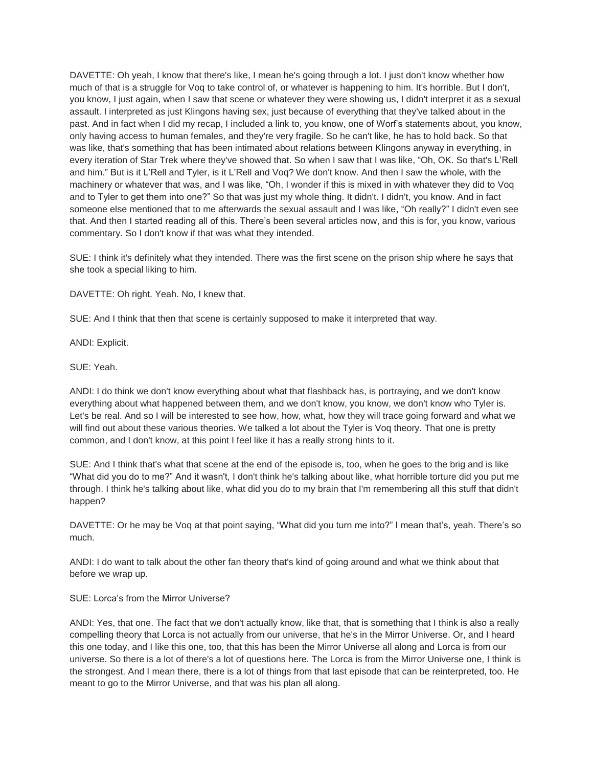DAVETTE: Oh yeah, I know that there's like, I mean he's going through a lot. I just don't know whether how much of that is a struggle for Voq to take control of, or whatever is happening to him. It's horrible. But I don't, you know, I just again, when I saw that scene or whatever they were showing us, I didn't interpret it as a sexual assault. I interpreted as just Klingons having sex, just because of everything that they've talked about in the past. And in fact when I did my recap, I included a link to, you know, one of Worf's statements about, you know, only having access to human females, and they're very fragile. So he can't like, he has to hold back. So that was like, that's something that has been intimated about relations between Klingons anyway in everything, in every iteration of Star Trek where they've showed that. So when I saw that I was like, "Oh, OK. So that's L'Rell and him." But is it L'Rell and Tyler, is it L'Rell and Voq? We don't know. And then I saw the whole, with the machinery or whatever that was, and I was like, "Oh, I wonder if this is mixed in with whatever they did to Voq and to Tyler to get them into one?" So that was just my whole thing. It didn't. I didn't, you know. And in fact someone else mentioned that to me afterwards the sexual assault and I was like, "Oh really?" I didn't even see that. And then I started reading all of this. There's been several articles now, and this is for, you know, various commentary. So I don't know if that was what they intended.

SUE: I think it's definitely what they intended. There was the first scene on the prison ship where he says that she took a special liking to him.

DAVETTE: Oh right. Yeah. No, I knew that.

SUE: And I think that then that scene is certainly supposed to make it interpreted that way.

ANDI: Explicit.

SUE: Yeah.

ANDI: I do think we don't know everything about what that flashback has, is portraying, and we don't know everything about what happened between them, and we don't know, you know, we don't know who Tyler is. Let's be real. And so I will be interested to see how, how, what, how they will trace going forward and what we will find out about these various theories. We talked a lot about the Tyler is Voq theory. That one is pretty common, and I don't know, at this point I feel like it has a really strong hints to it.

SUE: And I think that's what that scene at the end of the episode is, too, when he goes to the brig and is like "What did you do to me?" And it wasn't, I don't think he's talking about like, what horrible torture did you put me through. I think he's talking about like, what did you do to my brain that I'm remembering all this stuff that didn't happen?

DAVETTE: Or he may be Voq at that point saying, "What did you turn me into?" I mean that's, yeah. There's so much.

ANDI: I do want to talk about the other fan theory that's kind of going around and what we think about that before we wrap up.

SUE: Lorca's from the Mirror Universe?

ANDI: Yes, that one. The fact that we don't actually know, like that, that is something that I think is also a really compelling theory that Lorca is not actually from our universe, that he's in the Mirror Universe. Or, and I heard this one today, and I like this one, too, that this has been the Mirror Universe all along and Lorca is from our universe. So there is a lot of there's a lot of questions here. The Lorca is from the Mirror Universe one, I think is the strongest. And I mean there, there is a lot of things from that last episode that can be reinterpreted, too. He meant to go to the Mirror Universe, and that was his plan all along.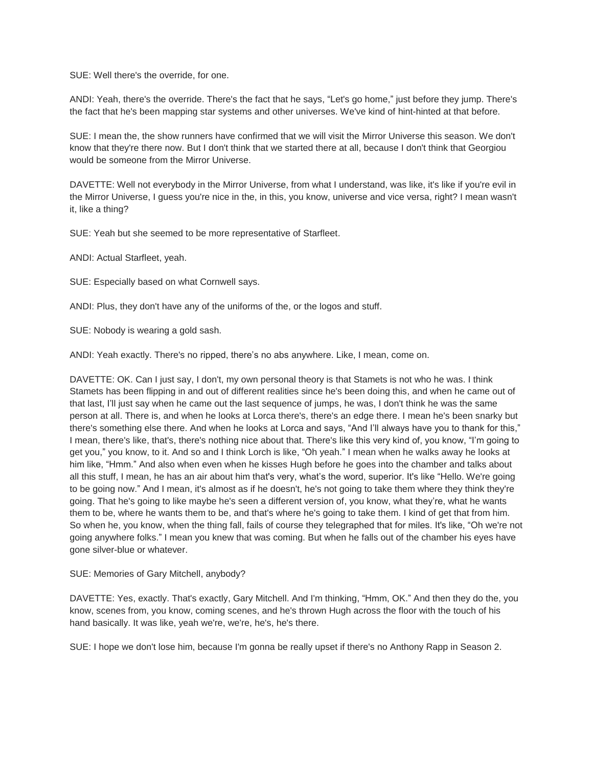SUE: Well there's the override, for one.

ANDI: Yeah, there's the override. There's the fact that he says, "Let's go home," just before they jump. There's the fact that he's been mapping star systems and other universes. We've kind of hint-hinted at that before.

SUE: I mean the, the show runners have confirmed that we will visit the Mirror Universe this season. We don't know that they're there now. But I don't think that we started there at all, because I don't think that Georgiou would be someone from the Mirror Universe.

DAVETTE: Well not everybody in the Mirror Universe, from what I understand, was like, it's like if you're evil in the Mirror Universe, I guess you're nice in the, in this, you know, universe and vice versa, right? I mean wasn't it, like a thing?

SUE: Yeah but she seemed to be more representative of Starfleet.

ANDI: Actual Starfleet, yeah.

SUE: Especially based on what Cornwell says.

ANDI: Plus, they don't have any of the uniforms of the, or the logos and stuff.

SUE: Nobody is wearing a gold sash.

ANDI: Yeah exactly. There's no ripped, there's no abs anywhere. Like, I mean, come on.

DAVETTE: OK. Can I just say, I don't, my own personal theory is that Stamets is not who he was. I think Stamets has been flipping in and out of different realities since he's been doing this, and when he came out of that last, I'll just say when he came out the last sequence of jumps, he was, I don't think he was the same person at all. There is, and when he looks at Lorca there's, there's an edge there. I mean he's been snarky but there's something else there. And when he looks at Lorca and says, "And I'll always have you to thank for this," I mean, there's like, that's, there's nothing nice about that. There's like this very kind of, you know, "I'm going to get you," you know, to it. And so and I think Lorch is like, "Oh yeah." I mean when he walks away he looks at him like, "Hmm." And also when even when he kisses Hugh before he goes into the chamber and talks about all this stuff, I mean, he has an air about him that's very, what's the word, superior. It's like "Hello. We're going to be going now." And I mean, it's almost as if he doesn't, he's not going to take them where they think they're going. That he's going to like maybe he's seen a different version of, you know, what they're, what he wants them to be, where he wants them to be, and that's where he's going to take them. I kind of get that from him. So when he, you know, when the thing fall, fails of course they telegraphed that for miles. It's like, "Oh we're not going anywhere folks." I mean you knew that was coming. But when he falls out of the chamber his eyes have gone silver-blue or whatever.

SUE: Memories of Gary Mitchell, anybody?

DAVETTE: Yes, exactly. That's exactly, Gary Mitchell. And I'm thinking, "Hmm, OK." And then they do the, you know, scenes from, you know, coming scenes, and he's thrown Hugh across the floor with the touch of his hand basically. It was like, yeah we're, we're, he's, he's there.

SUE: I hope we don't lose him, because I'm gonna be really upset if there's no Anthony Rapp in Season 2.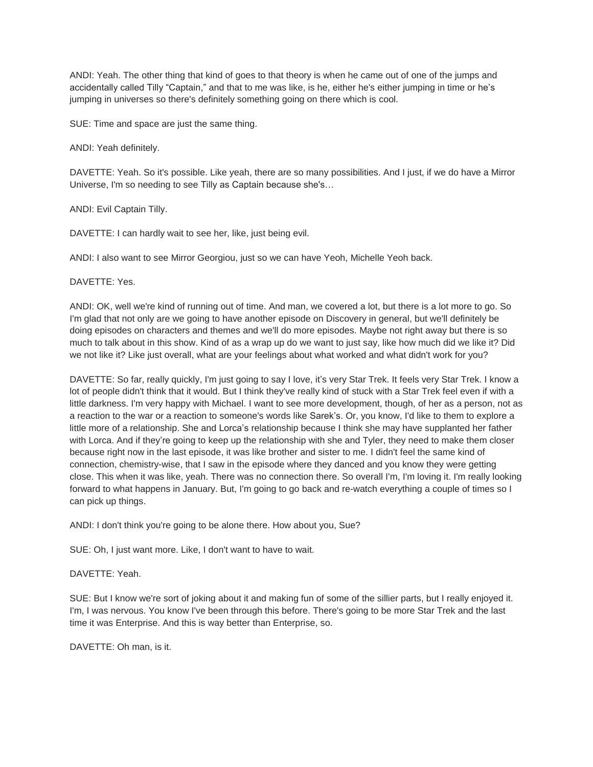ANDI: Yeah. The other thing that kind of goes to that theory is when he came out of one of the jumps and accidentally called Tilly "Captain," and that to me was like, is he, either he's either jumping in time or he's jumping in universes so there's definitely something going on there which is cool.

SUE: Time and space are just the same thing.

ANDI: Yeah definitely.

DAVETTE: Yeah. So it's possible. Like yeah, there are so many possibilities. And I just, if we do have a Mirror Universe, I'm so needing to see Tilly as Captain because she's…

ANDI: Evil Captain Tilly.

DAVETTE: I can hardly wait to see her, like, just being evil.

ANDI: I also want to see Mirror Georgiou, just so we can have Yeoh, Michelle Yeoh back.

DAVETTE: Yes.

ANDI: OK, well we're kind of running out of time. And man, we covered a lot, but there is a lot more to go. So I'm glad that not only are we going to have another episode on Discovery in general, but we'll definitely be doing episodes on characters and themes and we'll do more episodes. Maybe not right away but there is so much to talk about in this show. Kind of as a wrap up do we want to just say, like how much did we like it? Did we not like it? Like just overall, what are your feelings about what worked and what didn't work for you?

DAVETTE: So far, really quickly, I'm just going to say I love, it's very Star Trek. It feels very Star Trek. I know a lot of people didn't think that it would. But I think they've really kind of stuck with a Star Trek feel even if with a little darkness. I'm very happy with Michael. I want to see more development, though, of her as a person, not as a reaction to the war or a reaction to someone's words like Sarek's. Or, you know, I'd like to them to explore a little more of a relationship. She and Lorca's relationship because I think she may have supplanted her father with Lorca. And if they're going to keep up the relationship with she and Tyler, they need to make them closer because right now in the last episode, it was like brother and sister to me. I didn't feel the same kind of connection, chemistry-wise, that I saw in the episode where they danced and you know they were getting close. This when it was like, yeah. There was no connection there. So overall I'm, I'm loving it. I'm really looking forward to what happens in January. But, I'm going to go back and re-watch everything a couple of times so I can pick up things.

ANDI: I don't think you're going to be alone there. How about you, Sue?

SUE: Oh, I just want more. Like, I don't want to have to wait.

DAVETTE: Yeah.

SUE: But I know we're sort of joking about it and making fun of some of the sillier parts, but I really enjoyed it. I'm, I was nervous. You know I've been through this before. There's going to be more Star Trek and the last time it was Enterprise. And this is way better than Enterprise, so.

DAVETTE: Oh man, is it.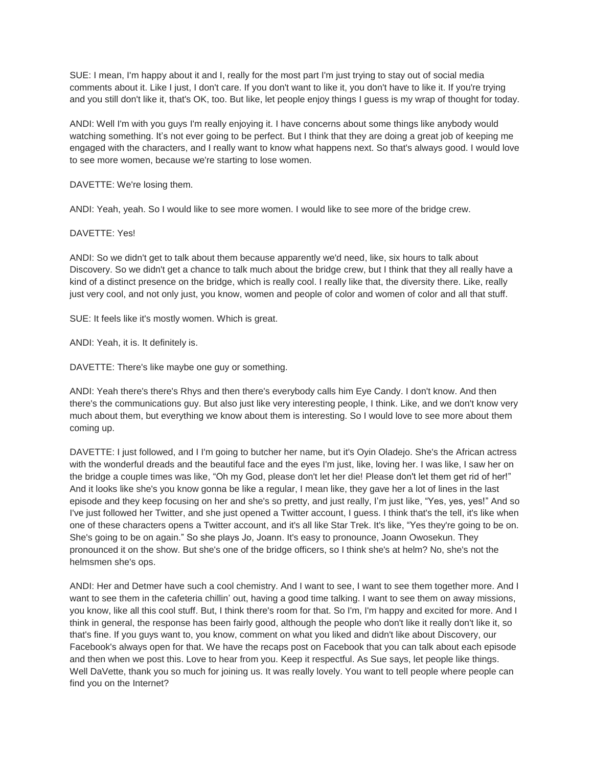SUE: I mean, I'm happy about it and I, really for the most part I'm just trying to stay out of social media comments about it. Like I just, I don't care. If you don't want to like it, you don't have to like it. If you're trying and you still don't like it, that's OK, too. But like, let people enjoy things I guess is my wrap of thought for today.

ANDI: Well I'm with you guys I'm really enjoying it. I have concerns about some things like anybody would watching something. It's not ever going to be perfect. But I think that they are doing a great job of keeping me engaged with the characters, and I really want to know what happens next. So that's always good. I would love to see more women, because we're starting to lose women.

DAVETTE: We're losing them.

ANDI: Yeah, yeah. So I would like to see more women. I would like to see more of the bridge crew.

### DAVETTE: Yes!

ANDI: So we didn't get to talk about them because apparently we'd need, like, six hours to talk about Discovery. So we didn't get a chance to talk much about the bridge crew, but I think that they all really have a kind of a distinct presence on the bridge, which is really cool. I really like that, the diversity there. Like, really just very cool, and not only just, you know, women and people of color and women of color and all that stuff.

SUE: It feels like it's mostly women. Which is great.

ANDI: Yeah, it is. It definitely is.

DAVETTE: There's like maybe one guy or something.

ANDI: Yeah there's there's Rhys and then there's everybody calls him Eye Candy. I don't know. And then there's the communications guy. But also just like very interesting people, I think. Like, and we don't know very much about them, but everything we know about them is interesting. So I would love to see more about them coming up.

DAVETTE: I just followed, and I I'm going to butcher her name, but it's Oyin Oladejo. She's the African actress with the wonderful dreads and the beautiful face and the eyes I'm just, like, loving her. I was like, I saw her on the bridge a couple times was like, "Oh my God, please don't let her die! Please don't let them get rid of her!" And it looks like she's you know gonna be like a regular, I mean like, they gave her a lot of lines in the last episode and they keep focusing on her and she's so pretty, and just really, I'm just like, "Yes, yes, yes!" And so I've just followed her Twitter, and she just opened a Twitter account, I guess. I think that's the tell, it's like when one of these characters opens a Twitter account, and it's all like Star Trek. It's like, "Yes they're going to be on. She's going to be on again." So she plays Jo, Joann. It's easy to pronounce, Joann Owosekun. They pronounced it on the show. But she's one of the bridge officers, so I think she's at helm? No, she's not the helmsmen she's ops.

ANDI: Her and Detmer have such a cool chemistry. And I want to see, I want to see them together more. And I want to see them in the cafeteria chillin' out, having a good time talking. I want to see them on away missions, you know, like all this cool stuff. But, I think there's room for that. So I'm, I'm happy and excited for more. And I think in general, the response has been fairly good, although the people who don't like it really don't like it, so that's fine. If you guys want to, you know, comment on what you liked and didn't like about Discovery, our Facebook's always open for that. We have the recaps post on Facebook that you can talk about each episode and then when we post this. Love to hear from you. Keep it respectful. As Sue says, let people like things. Well DaVette, thank you so much for joining us. It was really lovely. You want to tell people where people can find you on the Internet?